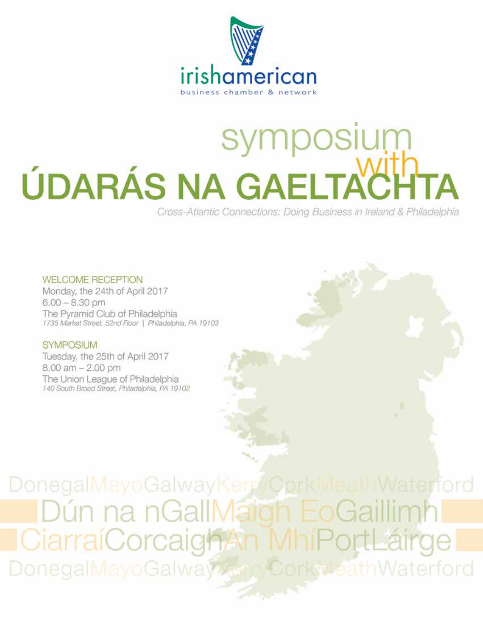

# symposium ÚDARÁS NA GAELTA

Cross-Atlantic Connections: Doing Business in Ireland & Philadelphia

**WELCOME RECEPTION** Monday, the 24th of April 2017  $6.00 - 8.30$  pm The Pyramid Club of Philadelphia<br>1735 Market Street, 52nd Floor | Philadelphia, PA 19103

#### **SYMPOSIUM**

Tuesday, the 25th of April 2017  $8.00$  am  $- 2.00$  pm The Union League of Philadelphia 140 South Broad Street, Philadelphia, PA 19102

DonegalMayoGalwayKerr/CorkMealhWaterford )ún na nGalll CiarraiCorcaigh DonegalMayoGalway **KV-eathWaterford**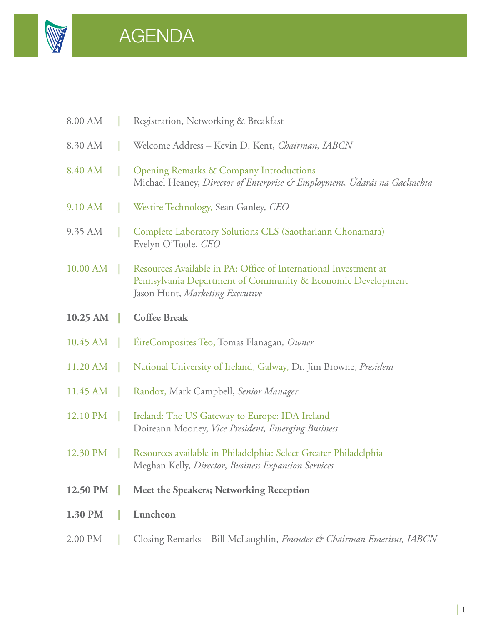

# AGENDA

| 8.00 AM  | Registration, Networking & Breakfast                                                                                                                               |
|----------|--------------------------------------------------------------------------------------------------------------------------------------------------------------------|
| 8.30 AM  | Welcome Address - Kevin D. Kent, Chairman, IABCN                                                                                                                   |
| 8.40 AM  | <b>Opening Remarks &amp; Company Introductions</b><br>Michael Heaney, Director of Enterprise & Employment, Údarás na Gaeltachta                                    |
| 9.10 AM  | Westire Technology, Sean Ganley, CEO                                                                                                                               |
| 9.35 AM  | Complete Laboratory Solutions CLS (Saotharlann Chonamara)<br>Evelyn O'Toole, CEO                                                                                   |
| 10.00 AM | Resources Available in PA: Office of International Investment at<br>Pennsylvania Department of Community & Economic Development<br>Jason Hunt, Marketing Executive |
| 10.25 AM | <b>Coffee Break</b>                                                                                                                                                |
| 10.45 AM | EireComposites Teo, Tomas Flanagan, Owner                                                                                                                          |
| 11.20 AM | National University of Ireland, Galway, Dr. Jim Browne, President                                                                                                  |
| 11.45 AM | Randox, Mark Campbell, Senior Manager                                                                                                                              |
| 12.10 PM | Ireland: The US Gateway to Europe: IDA Ireland<br>Doireann Mooney, Vice President, Emerging Business                                                               |
| 12.30 PM | Resources available in Philadelphia: Select Greater Philadelphia<br>Meghan Kelly, Director, Business Expansion Services                                            |
| 12.50 PM | Meet the Speakers; Networking Reception                                                                                                                            |
| 1.30 PM  | Luncheon                                                                                                                                                           |
| 2.00 PM  | Closing Remarks - Bill McLaughlin, Founder & Chairman Emeritus, IABCN                                                                                              |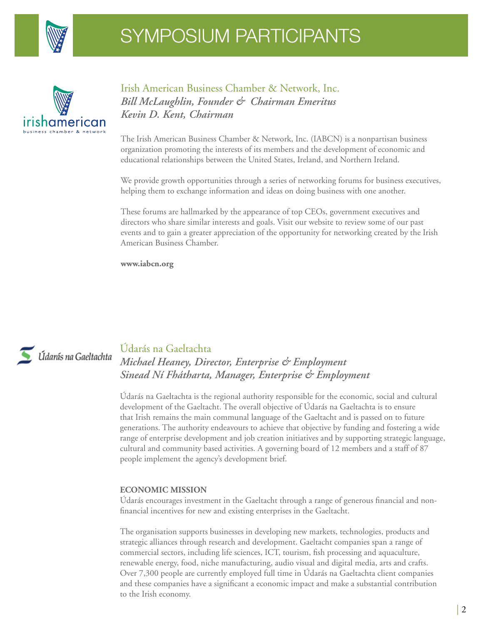



Irish American Business Chamber & Network, Inc. *Bill McLaughlin, Founder & Chairman Emeritus Kevin D. Kent, Chairman*

The Irish American Business Chamber & Network, Inc. (IABCN) is a nonpartisan business organization promoting the interests of its members and the development of economic and educational relationships between the United States, Ireland, and Northern Ireland.

We provide growth opportunities through a series of networking forums for business executives, helping them to exchange information and ideas on doing business with one another.

These forums are hallmarked by the appearance of top CEOs, government executives and directors who share similar interests and goals. Visit our website to review some of our past events and to gain a greater appreciation of the opportunity for networking created by the Irish American Business Chamber.

**www.iabcn.org**



#### Údarás na Gaeltachta *Michael Heaney, Director, Enterprise & Employment Sinead Ní Fhátharta, Manager, Enterprise & Employment*

Údarás na Gaeltachta is the regional authority responsible for the economic, social and cultural development of the Gaeltacht. The overall objective of Údarás na Gaeltachta is to ensure that Irish remains the main communal language of the Gaeltacht and is passed on to future generations. The authority endeavours to achieve that objective by funding and fostering a wide range of enterprise development and job creation initiatives and by supporting strategic language, cultural and community based activities. A governing board of 12 members and a staff of 87 people implement the agency's development brief.

#### **Economic mission**

Udarás encourages investment in the Gaeltacht through a range of generous financial and nonfinancial incentives for new and existing enterprises in the Gaeltacht.

The organisation supports businesses in developing new markets, technologies, products and strategic alliances through research and development. Gaeltacht companies span a range of commercial sectors, including life sciences, ICT, tourism, fish processing and aquaculture, renewable energy, food, niche manufacturing, audio visual and digital media, arts and crafts. Over 7,300 people are currently employed full time in Údarás na Gaeltachta client companies and these companies have a significant a economic impact and make a substantial contribution to the Irish economy.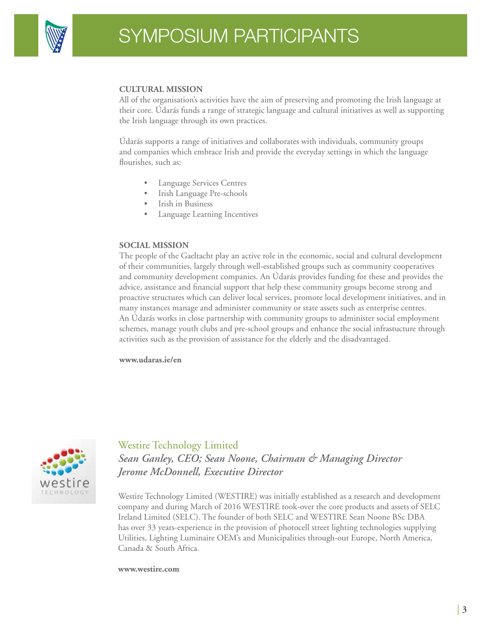

#### **Cultural mission**

All of the organisation's activities have the aim of preserving and promoting the Irish language at their core. Údarás funds a range of strategic language and cultural initiatives as well as supporting the Irish language through its own practices.

Údarás supports a range of initiatives and collaborates with individuals, community groups and companies which embrace Irish and provide the everyday settings in which the language flourishes, such as:

- Language Services Centres
- Irish Language Pre-schools
- Irish in Business
- Language Learning Incentives

#### **Social Mission**

The people of the Gaeltacht play an active role in the economic, social and cultural development of their communities, largely through well-established groups such as community cooperatives and community development companies. An Údarás provides funding for these and provides the advice, assistance and financial support that help these community groups become strong and proactive structures which can deliver local services, promote local development initiatives, and in many instances manage and administer community or state assets such as enterprise centres. An Údarás works in close partnership with community groups to administer social employment schemes, manage youth clubs and pre-school groups and enhance the social infrastucture through activities such as the provision of assistance for the elderly and the disadvantaged.

**www.udaras.ie/en**



Westire Technology Limited *Sean Ganley, CEO; Sean Noone, Chairman & Managing Director Jerome McDonnell, Executive Director*

Westire Technology Limited (WESTIRE) was initially established as a research and development company and during March of 2016 WESTIRE took-over the core products and assets of SELC Ireland Limited (SELC). The founder of both SELC and WESTIRE Sean Noone BSc DBA has over 33 years-experience in the provision of photocell street lighting technologies supplying Utilities, Lighting Luminaire OEM's and Municipalities through-out Europe, North America, Canada & South Africa.

#### **www.westire.com**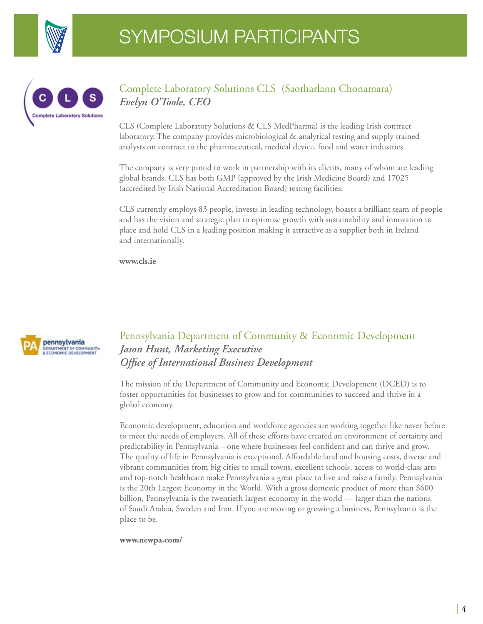



#### Complete Laboratory Solutions CLS (Saotharlann Chonamara) *Evelyn O'Toole, CEO*

CLS (Complete Laboratory Solutions & CLS MedPharma) is the leading Irish contract laboratory. The company provides microbiological & analytical testing and supply trained analysts on contract to the pharmaceutical, medical device, food and water industries.

The company is very proud to work in partnership with its clients, many of whom are leading global brands. CLS has both GMP (approved by the Irish Medicine Board) and 17025 (accredited by Irish National Accreditation Board) testing facilities.

CLS currently employs 83 people, invests in leading technology, boasts a brilliant team of people and has the vision and strategic plan to optimise growth with sustainability and innovation to place and hold CLS in a leading position making it attractive as a supplier both in Ireland and internationally.

**www.cls.ie**



## Pennsylvania Department of Community & Economic Development *Jason Hunt, Marketing Executive Office of International Business Development*

The mission of the Department of Community and Economic Development (DCED) is to foster opportunities for businesses to grow and for communities to succeed and thrive in a global economy.

Economic development, education and workforce agencies are working together like never before to meet the needs of employers. All of these efforts have created an environment of certainty and predictability in Pennsylvania – one where businesses feel confident and can thrive and grow. The quality of life in Pennsylvania is exceptional. Affordable land and housing costs, diverse and vibrant communities from big cities to small towns, excellent schools, access to world-class arts and top-notch healthcare make Pennsylvania a great place to live and raise a family. Pennsylvania is the 20th Largest Economy in the World. With a gross domestic product of more than \$600 billion, Pennsylvania is the twentieth largest economy in the world — larger than the nations of Saudi Arabia, Sweden and Iran. If you are moving or growing a business, Pennsylvania is the place to be.

**www.newpa.com/**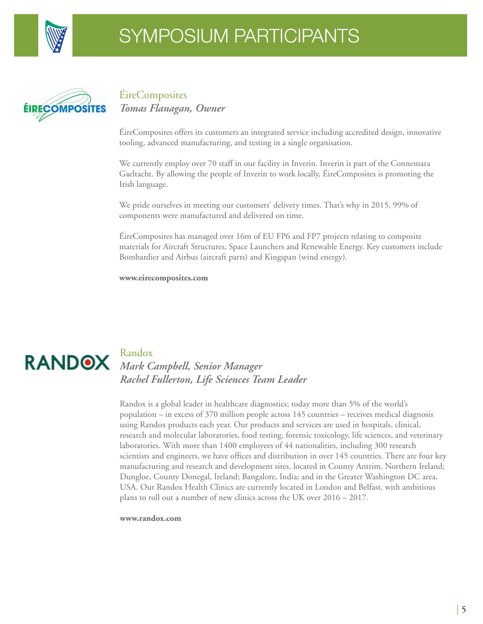



# ÉireComposites *Tomas Flanagan, Owner*

ÉireComposites offers its customers an integrated service including accredited design, innovative tooling, advanced manufacturing, and testing in a single organisation.

We currently employ over 70 staff in our facility in Inverin. Inverin is part of the Connemara Gaeltacht. By allowing the people of Inverin to work locally, ÉireComposites is promoting the Irish language.

We pride ourselves in meeting our customers' delivery times. That's why in 2015, 99% of components were manufactured and delivered on time.

ÉireComposites has managed over 16m of EU FP6 and FP7 projects relating to composite materials for Aircraft Structures, Space Launchers and Renewable Energy. Key customers include Bombardier and Airbus (aircraft parts) and Kingspan (wind energy).

**www.eirecomposites.com**



## Randox *Mark Campbell, Senior Manager Rachel Fullerton, Life Sciences Team Leader*

Randox is a global leader in healthcare diagnostics; today more than 5% of the world's population – in excess of 370 million people across 145 countries – receives medical diagnosis using Randox products each year. Our products and services are used in hospitals, clinical, research and molecular laboratories, food testing, forensic toxicology, life sciences, and veterinary laboratories. With more than 1400 employees of 44 nationalities, including 300 research scientists and engineers, we have offices and distribution in over 145 countries. There are four key manufacturing and research and development sites, located in County Antrim, Northern Ireland; Dungloe, County Donegal, Ireland; Bangalore, India; and in the Greater Washington DC area, USA. Our Randox Health Clinics are currently located in London and Belfast, with ambitious plans to roll out a number of new clinics across the UK over 2016 – 2017.

#### **www.randox.com**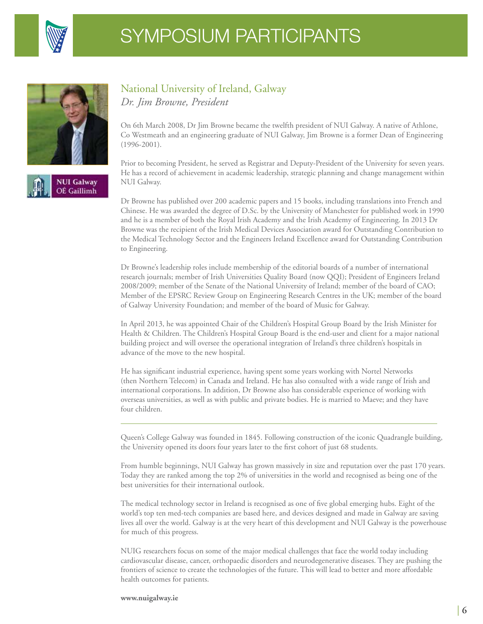

National University of Ireland, Galway



**NUI Galway OE** Gaillimh



*Dr. Jim Browne, President*

On 6th March 2008, Dr Jim Browne became the twelfth president of NUI Galway. A native of Athlone, Co Westmeath and an engineering graduate of NUI Galway, Jim Browne is a former Dean of Engineering (1996-2001).

Prior to becoming President, he served as Registrar and Deputy-President of the University for seven years. He has a record of achievement in academic leadership, strategic planning and change management within NUI Galway.

Dr Browne has published over 200 academic papers and 15 books, including translations into French and Chinese. He was awarded the degree of D.Sc. by the University of Manchester for published work in 1990 and he is a member of both the Royal Irish Academy and the Irish Academy of Engineering. In 2013 Dr Browne was the recipient of the Irish Medical Devices Association award for Outstanding Contribution to the Medical Technology Sector and the Engineers Ireland Excellence award for Outstanding Contribution to Engineering.

Dr Browne's leadership roles include membership of the editorial boards of a number of international research journals; member of Irish Universities Quality Board (now QQI); President of Engineers Ireland 2008/2009; member of the Senate of the National University of Ireland; member of the board of CAO; Member of the EPSRC Review Group on Engineering Research Centres in the UK; member of the board of Galway University Foundation; and member of the board of Music for Galway.

In April 2013, he was appointed Chair of the Children's Hospital Group Board by the Irish Minister for Health & Children. The Children's Hospital Group Board is the end-user and client for a major national building project and will oversee the operational integration of Ireland's three children's hospitals in advance of the move to the new hospital.

He has significant industrial experience, having spent some years working with Nortel Networks (then Northern Telecom) in Canada and Ireland. He has also consulted with a wide range of Irish and international corporations. In addition, Dr Browne also has considerable experience of working with overseas universities, as well as with public and private bodies. He is married to Maeve; and they have four children.

Queen's College Galway was founded in 1845. Following construction of the iconic Quadrangle building, the University opened its doors four years later to the first cohort of just 68 students.

From humble beginnings, NUI Galway has grown massively in size and reputation over the past 170 years. Today they are ranked among the top 2% of universities in the world and recognised as being one of the best universities for their international outlook.

The medical technology sector in Ireland is recognised as one of five global emerging hubs. Eight of the world's top ten med-tech companies are based here, and devices designed and made in Galway are saving lives all over the world. Galway is at the very heart of this development and NUI Galway is the powerhouse for much of this progress.

NUIG researchers focus on some of the major medical challenges that face the world today including cardiovascular disease, cancer, orthopaedic disorders and neurodegenerative diseases. They are pushing the frontiers of science to create the technologies of the future. This will lead to better and more affordable health outcomes for patients.

**www.nuigalway.ie**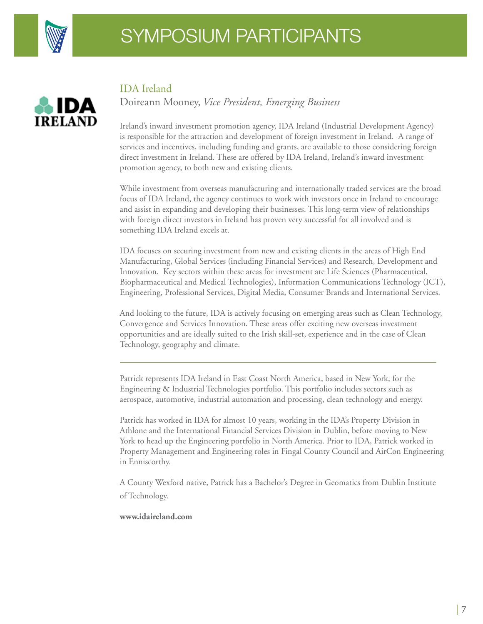



#### IDA Ireland

Doireann Mooney, *Vice President, Emerging Business*

Ireland's inward investment promotion agency, IDA Ireland (Industrial Development Agency) is responsible for the attraction and development of foreign investment in Ireland. A range of services and incentives, including funding and grants, are available to those considering foreign direct investment in Ireland. These are offered by IDA Ireland, Ireland's inward investment promotion agency, to both new and existing clients.

While investment from overseas manufacturing and internationally traded services are the broad focus of IDA Ireland, the agency continues to work with investors once in Ireland to encourage and assist in expanding and developing their businesses. This long-term view of relationships with foreign direct investors in Ireland has proven very successful for all involved and is something IDA Ireland excels at.

IDA focuses on securing investment from new and existing clients in the areas of High End Manufacturing, Global Services (including Financial Services) and Research, Development and Innovation. Key sectors within these areas for investment are Life Sciences (Pharmaceutical, Biopharmaceutical and Medical Technologies), Information Communications Technology (ICT), Engineering, Professional Services, Digital Media, Consumer Brands and International Services.

And looking to the future, IDA is actively focusing on emerging areas such as Clean Technology, Convergence and Services Innovation. These areas offer exciting new overseas investment opportunities and are ideally suited to the Irish skill-set, experience and in the case of Clean Technology, geography and climate.

Patrick represents IDA Ireland in East Coast North America, based in New York, for the Engineering & Industrial Technologies portfolio. This portfolio includes sectors such as aerospace, automotive, industrial automation and processing, clean technology and energy.

Patrick has worked in IDA for almost 10 years, working in the IDA's Property Division in Athlone and the International Financial Services Division in Dublin, before moving to New York to head up the Engineering portfolio in North America. Prior to IDA, Patrick worked in Property Management and Engineering roles in Fingal County Council and AirCon Engineering in Enniscorthy.

A County Wexford native, Patrick has a Bachelor's Degree in Geomatics from Dublin Institute of Technology.

#### **www.idaireland.com**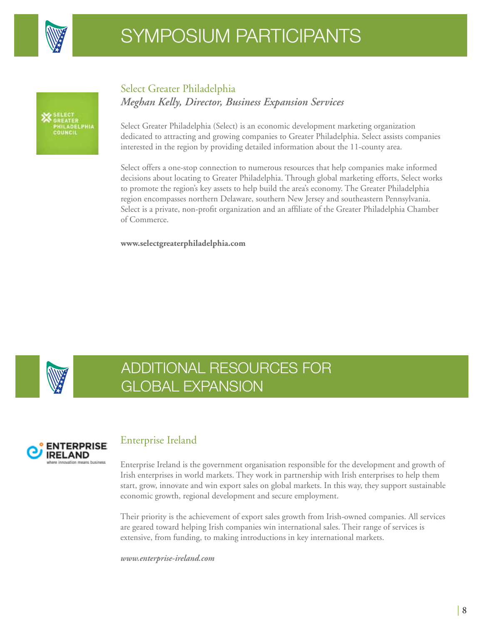



## Select Greater Philadelphia *Meghan Kelly, Director, Business Expansion Services*

Select Greater Philadelphia (Select) is an economic development marketing organization dedicated to attracting and growing companies to Greater Philadelphia. Select assists companies interested in the region by providing detailed information about the 11-county area.

Select offers a one-stop connection to numerous resources that help companies make informed decisions about locating to Greater Philadelphia. Through global marketing efforts, Select works to promote the region's key assets to help build the area's economy. The Greater Philadelphia region encompasses northern Delaware, southern New Jersey and southeastern Pennsylvania. Select is a private, non-profit organization and an affiliate of the Greater Philadelphia Chamber of Commerce.

**www.selectgreaterphiladelphia.com**



# ADDITIONAL RESOURCES FOR GLOBAL EXPANSION



## Enterprise Ireland

Enterprise Ireland is the government organisation responsible for the development and growth of Irish enterprises in world markets. They work in partnership with Irish enterprises to help them start, grow, innovate and win export sales on global markets. In this way, they support sustainable economic growth, regional development and secure employment.

Their priority is the achievement of export sales growth from Irish-owned companies. All services are geared toward helping Irish companies win international sales. Their range of services is extensive, from funding, to making introductions in key international markets.

*www.enterprise-ireland.com*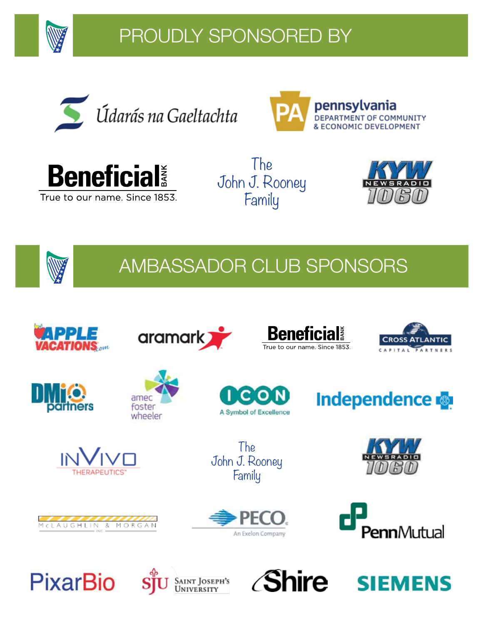

# PROUDLY SPONSORED BY







The John J. Rooney Family





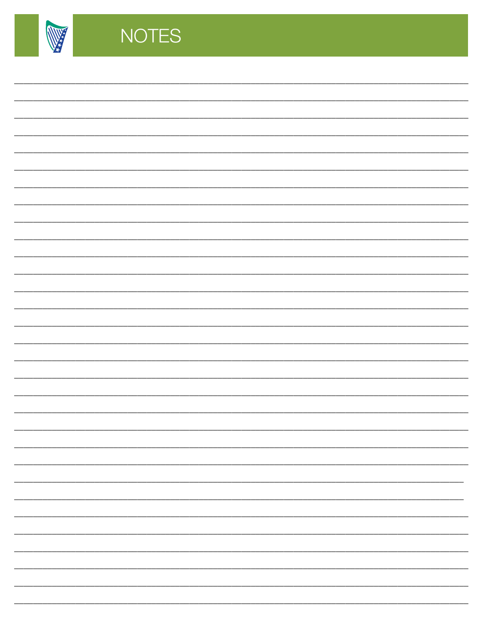